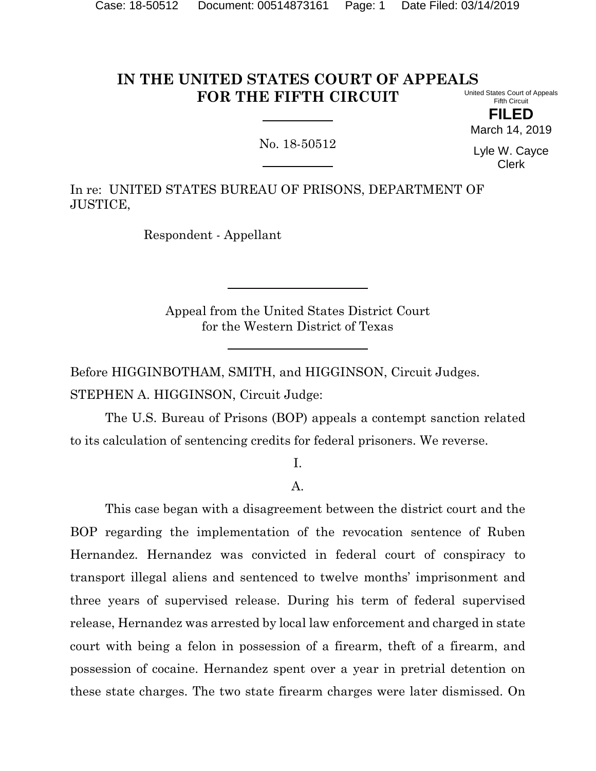#### **IN THE UNITED STATES COURT OF APPEALS FOR THE FIFTH CIRCUIT** United States Court of Appeals

Fifth Circuit **FILED**

March 14, 2019

No. 18-50512

Lyle W. Cayce Clerk

In re: UNITED STATES BUREAU OF PRISONS, DEPARTMENT OF JUSTICE,

Respondent - Appellant

Appeal from the United States District Court for the Western District of Texas

Before HIGGINBOTHAM, SMITH, and HIGGINSON, Circuit Judges. STEPHEN A. HIGGINSON, Circuit Judge:

The U.S. Bureau of Prisons (BOP) appeals a contempt sanction related to its calculation of sentencing credits for federal prisoners. We reverse.

I.

A.

This case began with a disagreement between the district court and the BOP regarding the implementation of the revocation sentence of Ruben Hernandez. Hernandez was convicted in federal court of conspiracy to transport illegal aliens and sentenced to twelve months' imprisonment and three years of supervised release. During his term of federal supervised release, Hernandez was arrested by local law enforcement and charged in state court with being a felon in possession of a firearm, theft of a firearm, and possession of cocaine. Hernandez spent over a year in pretrial detention on these state charges. The two state firearm charges were later dismissed. On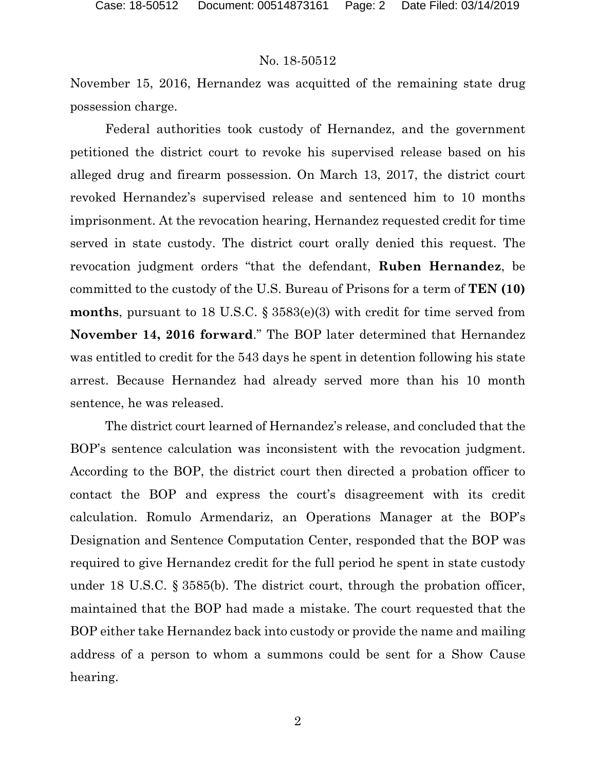November 15, 2016, Hernandez was acquitted of the remaining state drug possession charge.

Federal authorities took custody of Hernandez, and the government petitioned the district court to revoke his supervised release based on his alleged drug and firearm possession. On March 13, 2017, the district court revoked Hernandez's supervised release and sentenced him to 10 months imprisonment. At the revocation hearing, Hernandez requested credit for time served in state custody. The district court orally denied this request. The revocation judgment orders "that the defendant, **Ruben Hernandez**, be committed to the custody of the U.S. Bureau of Prisons for a term of **TEN (10) months**, pursuant to 18 U.S.C. § 3583(e)(3) with credit for time served from **November 14, 2016 forward**." The BOP later determined that Hernandez was entitled to credit for the 543 days he spent in detention following his state arrest. Because Hernandez had already served more than his 10 month sentence, he was released.

The district court learned of Hernandez's release, and concluded that the BOP's sentence calculation was inconsistent with the revocation judgment. According to the BOP, the district court then directed a probation officer to contact the BOP and express the court's disagreement with its credit calculation. Romulo Armendariz, an Operations Manager at the BOP's Designation and Sentence Computation Center, responded that the BOP was required to give Hernandez credit for the full period he spent in state custody under 18 U.S.C. § 3585(b). The district court, through the probation officer, maintained that the BOP had made a mistake. The court requested that the BOP either take Hernandez back into custody or provide the name and mailing address of a person to whom a summons could be sent for a Show Cause hearing.

2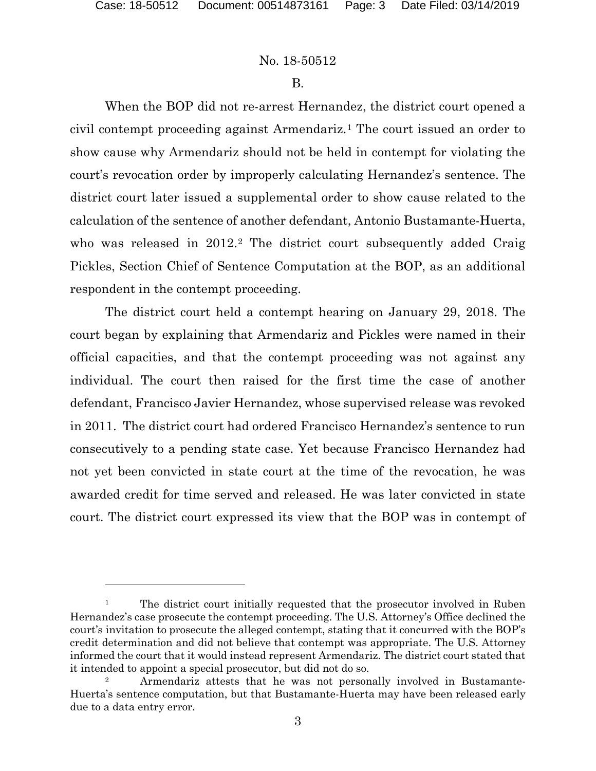$\overline{a}$ 

#### No. 18-50512

#### B.

When the BOP did not re-arrest Hernandez, the district court opened a civil contempt proceeding against Armendariz.[1](#page-2-0) The court issued an order to show cause why Armendariz should not be held in contempt for violating the court's revocation order by improperly calculating Hernandez's sentence. The district court later issued a supplemental order to show cause related to the calculation of the sentence of another defendant, Antonio Bustamante-Huerta, who was released in [2](#page-2-1)012.<sup>2</sup> The district court subsequently added Craig Pickles, Section Chief of Sentence Computation at the BOP, as an additional respondent in the contempt proceeding.

The district court held a contempt hearing on January 29, 2018. The court began by explaining that Armendariz and Pickles were named in their official capacities, and that the contempt proceeding was not against any individual. The court then raised for the first time the case of another defendant, Francisco Javier Hernandez, whose supervised release was revoked in 2011. The district court had ordered Francisco Hernandez's sentence to run consecutively to a pending state case. Yet because Francisco Hernandez had not yet been convicted in state court at the time of the revocation, he was awarded credit for time served and released. He was later convicted in state court. The district court expressed its view that the BOP was in contempt of

<span id="page-2-0"></span><sup>&</sup>lt;sup>1</sup> The district court initially requested that the prosecutor involved in Ruben Hernandez's case prosecute the contempt proceeding. The U.S. Attorney's Office declined the court's invitation to prosecute the alleged contempt, stating that it concurred with the BOP's credit determination and did not believe that contempt was appropriate. The U.S. Attorney informed the court that it would instead represent Armendariz. The district court stated that it intended to appoint a special prosecutor, but did not do so.<br><sup>2</sup> Armendariz attests that he was not personally involved in Bustamante-

<span id="page-2-1"></span>Huerta's sentence computation, but that Bustamante-Huerta may have been released early due to a data entry error.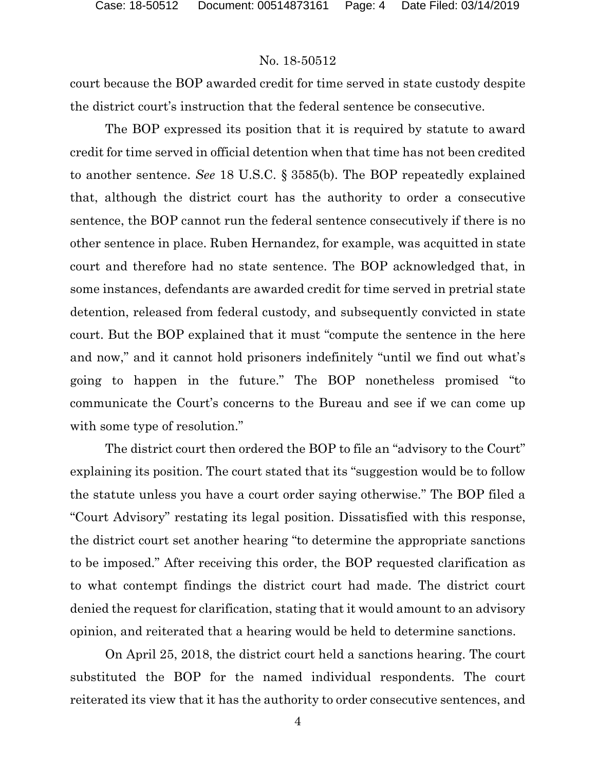court because the BOP awarded credit for time served in state custody despite the district court's instruction that the federal sentence be consecutive.

The BOP expressed its position that it is required by statute to award credit for time served in official detention when that time has not been credited to another sentence. *See* 18 U.S.C. § 3585(b). The BOP repeatedly explained that, although the district court has the authority to order a consecutive sentence, the BOP cannot run the federal sentence consecutively if there is no other sentence in place. Ruben Hernandez, for example, was acquitted in state court and therefore had no state sentence. The BOP acknowledged that, in some instances, defendants are awarded credit for time served in pretrial state detention, released from federal custody, and subsequently convicted in state court. But the BOP explained that it must "compute the sentence in the here and now," and it cannot hold prisoners indefinitely "until we find out what's going to happen in the future." The BOP nonetheless promised "to communicate the Court's concerns to the Bureau and see if we can come up with some type of resolution."

The district court then ordered the BOP to file an "advisory to the Court" explaining its position. The court stated that its "suggestion would be to follow the statute unless you have a court order saying otherwise." The BOP filed a "Court Advisory" restating its legal position. Dissatisfied with this response, the district court set another hearing "to determine the appropriate sanctions to be imposed." After receiving this order, the BOP requested clarification as to what contempt findings the district court had made. The district court denied the request for clarification, stating that it would amount to an advisory opinion, and reiterated that a hearing would be held to determine sanctions.

On April 25, 2018, the district court held a sanctions hearing. The court substituted the BOP for the named individual respondents. The court reiterated its view that it has the authority to order consecutive sentences, and

4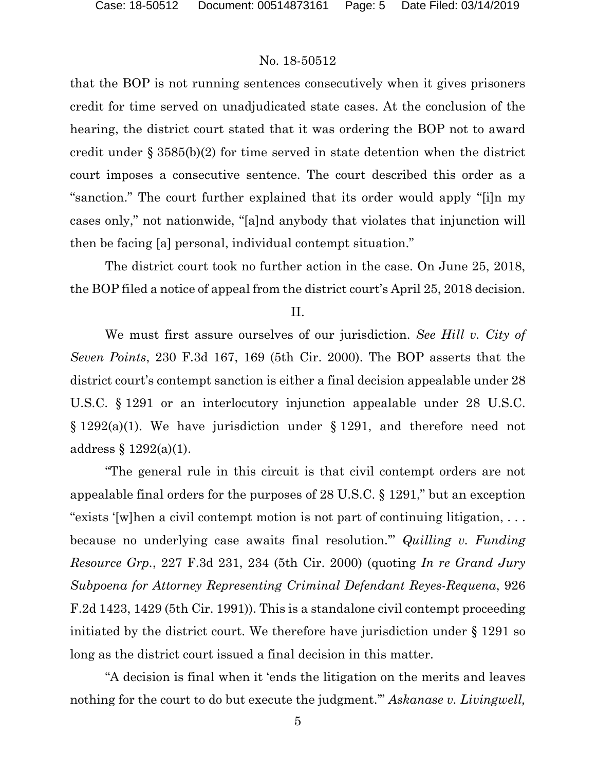that the BOP is not running sentences consecutively when it gives prisoners credit for time served on unadjudicated state cases. At the conclusion of the hearing, the district court stated that it was ordering the BOP not to award credit under § 3585(b)(2) for time served in state detention when the district court imposes a consecutive sentence. The court described this order as a "sanction." The court further explained that its order would apply "[i]n my cases only," not nationwide, "[a]nd anybody that violates that injunction will then be facing [a] personal, individual contempt situation."

The district court took no further action in the case. On June 25, 2018, the BOP filed a notice of appeal from the district court's April 25, 2018 decision.

II.

We must first assure ourselves of our jurisdiction. *See Hill v. City of Seven Points*, 230 F.3d 167, 169 (5th Cir. 2000). The BOP asserts that the district court's contempt sanction is either a final decision appealable under 28 U.S.C. § 1291 or an interlocutory injunction appealable under 28 U.S.C. § 1292(a)(1). We have jurisdiction under § 1291, and therefore need not address § 1292(a)(1).

"The general rule in this circuit is that civil contempt orders are not appealable final orders for the purposes of 28 U.S.C. § 1291," but an exception "exists '[w]hen a civil contempt motion is not part of continuing litigation, . . . because no underlying case awaits final resolution.'" *Quilling v. Funding Resource Grp.*, 227 F.3d 231, 234 (5th Cir. 2000) (quoting *In re Grand Jury Subpoena for Attorney Representing Criminal Defendant Reyes-Requena*, 926 F.2d 1423, 1429 (5th Cir. 1991)). This is a standalone civil contempt proceeding initiated by the district court. We therefore have jurisdiction under § 1291 so long as the district court issued a final decision in this matter.

"A decision is final when it 'ends the litigation on the merits and leaves nothing for the court to do but execute the judgment.'" *Askanase v. Livingwell,*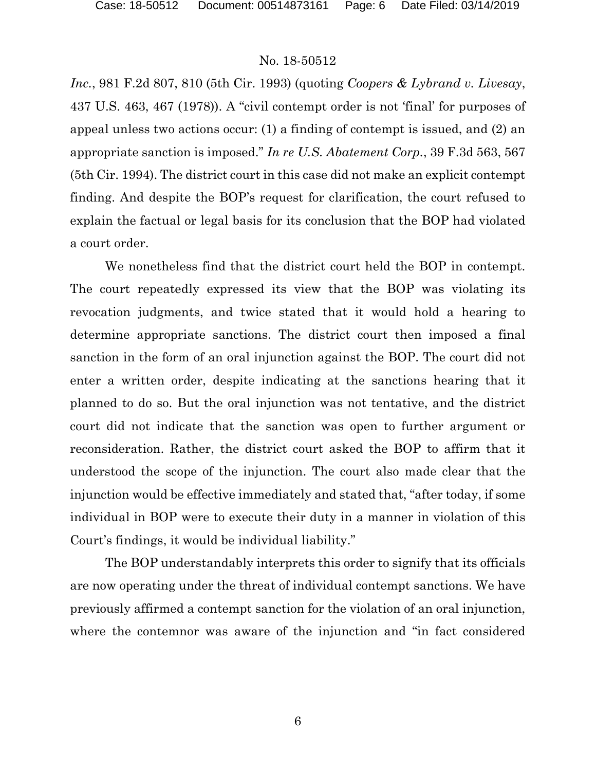*Inc.*, 981 F.2d 807, 810 (5th Cir. 1993) (quoting *Coopers & Lybrand v. Livesay*, 437 U.S. 463, 467 (1978)). A "civil contempt order is not 'final' for purposes of appeal unless two actions occur: (1) a finding of contempt is issued, and (2) an appropriate sanction is imposed." *In re U.S. Abatement Corp.*, 39 F.3d 563, 567 (5th Cir. 1994). The district court in this case did not make an explicit contempt finding. And despite the BOP's request for clarification, the court refused to explain the factual or legal basis for its conclusion that the BOP had violated a court order.

We nonetheless find that the district court held the BOP in contempt. The court repeatedly expressed its view that the BOP was violating its revocation judgments, and twice stated that it would hold a hearing to determine appropriate sanctions. The district court then imposed a final sanction in the form of an oral injunction against the BOP. The court did not enter a written order, despite indicating at the sanctions hearing that it planned to do so. But the oral injunction was not tentative, and the district court did not indicate that the sanction was open to further argument or reconsideration. Rather, the district court asked the BOP to affirm that it understood the scope of the injunction. The court also made clear that the injunction would be effective immediately and stated that, "after today, if some individual in BOP were to execute their duty in a manner in violation of this Court's findings, it would be individual liability."

The BOP understandably interprets this order to signify that its officials are now operating under the threat of individual contempt sanctions. We have previously affirmed a contempt sanction for the violation of an oral injunction, where the contemnor was aware of the injunction and "in fact considered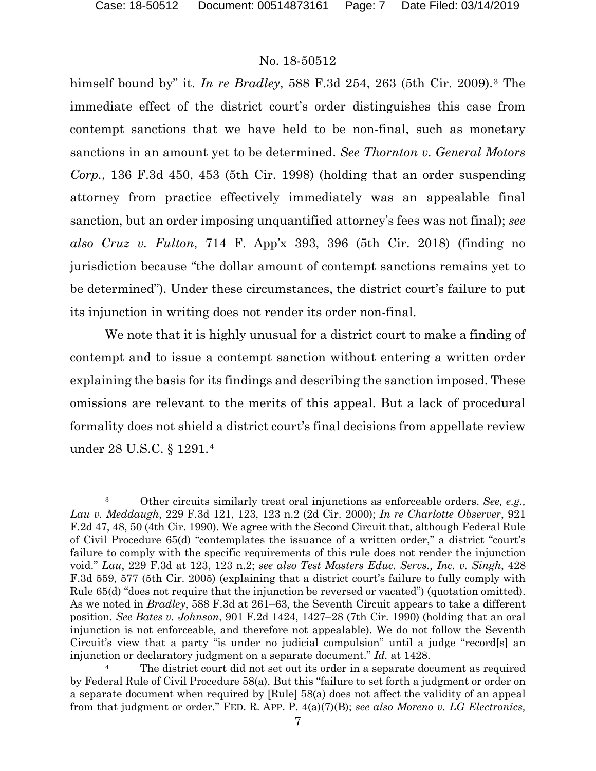l

## No. 18-50512

himself bound by" it. *In re Bradley*, 588 F.3d 254, 263 (5th Cir. 2009).[3](#page-6-0) The immediate effect of the district court's order distinguishes this case from contempt sanctions that we have held to be non-final, such as monetary sanctions in an amount yet to be determined. *See Thornton v. General Motors Corp.*, 136 F.3d 450, 453 (5th Cir. 1998) (holding that an order suspending attorney from practice effectively immediately was an appealable final sanction, but an order imposing unquantified attorney's fees was not final); *see also Cruz v. Fulton*, 714 F. App'x 393, 396 (5th Cir. 2018) (finding no jurisdiction because "the dollar amount of contempt sanctions remains yet to be determined"). Under these circumstances, the district court's failure to put its injunction in writing does not render its order non-final.

We note that it is highly unusual for a district court to make a finding of contempt and to issue a contempt sanction without entering a written order explaining the basis for its findings and describing the sanction imposed. These omissions are relevant to the merits of this appeal. But a lack of procedural formality does not shield a district court's final decisions from appellate review under 28 U.S.C. § 1291.[4](#page-6-1)

<span id="page-6-0"></span><sup>3</sup> Other circuits similarly treat oral injunctions as enforceable orders. *See, e.g., Lau v. Meddaugh*, 229 F.3d 121, 123, 123 n.2 (2d Cir. 2000); *In re Charlotte Observer*, 921 F.2d 47, 48, 50 (4th Cir. 1990). We agree with the Second Circuit that, although Federal Rule of Civil Procedure 65(d) "contemplates the issuance of a written order," a district "court's failure to comply with the specific requirements of this rule does not render the injunction void." *Lau*, 229 F.3d at 123, 123 n.2; *see also Test Masters Educ. Servs., Inc. v. Singh*, 428 F.3d 559, 577 (5th Cir. 2005) (explaining that a district court's failure to fully comply with Rule 65(d) "does not require that the injunction be reversed or vacated") (quotation omitted). As we noted in *Bradley*, 588 F.3d at 261–63, the Seventh Circuit appears to take a different position. *See Bates v. Johnson*, 901 F.2d 1424, 1427–28 (7th Cir. 1990) (holding that an oral injunction is not enforceable, and therefore not appealable). We do not follow the Seventh Circuit's view that a party "is under no judicial compulsion" until a judge "record[s] an injunction or declaratory judgment on a separate document." *Id.* at 1428.

<span id="page-6-1"></span>The district court did not set out its order in a separate document as required by Federal Rule of Civil Procedure 58(a). But this "failure to set forth a judgment or order on a separate document when required by [Rule] 58(a) does not affect the validity of an appeal from that judgment or order." FED. R. APP. P. 4(a)(7)(B); *see also Moreno v. LG Electronics,*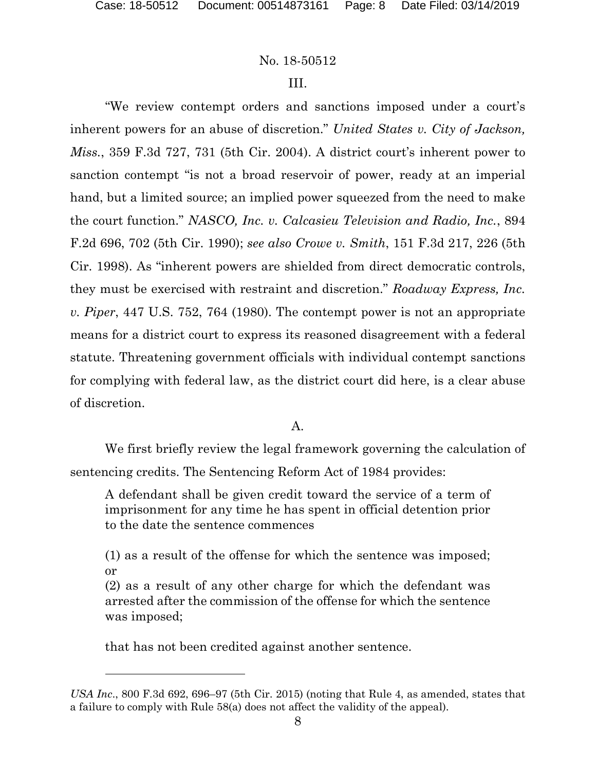# III.

"We review contempt orders and sanctions imposed under a court's inherent powers for an abuse of discretion." *United States v. City of Jackson, Miss.*, 359 F.3d 727, 731 (5th Cir. 2004). A district court's inherent power to sanction contempt "is not a broad reservoir of power, ready at an imperial hand, but a limited source; an implied power squeezed from the need to make the court function." *NASCO, Inc. v. Calcasieu Television and Radio, Inc.*, 894 F.2d 696, 702 (5th Cir. 1990); *see also Crowe v. Smith*, 151 F.3d 217, 226 (5th Cir. 1998). As "inherent powers are shielded from direct democratic controls, they must be exercised with restraint and discretion." *Roadway Express, Inc. v. Piper*, 447 U.S. 752, 764 (1980). The contempt power is not an appropriate means for a district court to express its reasoned disagreement with a federal statute. Threatening government officials with individual contempt sanctions for complying with federal law, as the district court did here, is a clear abuse of discretion.

A.

We first briefly review the legal framework governing the calculation of sentencing credits. The Sentencing Reform Act of 1984 provides:

A defendant shall be given credit toward the service of a term of imprisonment for any time he has spent in official detention prior to the date the sentence commences

(1) as a result of the offense for which the sentence was imposed; or

(2) as a result of any other charge for which the defendant was arrested after the commission of the offense for which the sentence was imposed;

that has not been credited against another sentence.

l

*USA Inc*., 800 F.3d 692, 696–97 (5th Cir. 2015) (noting that Rule 4, as amended, states that a failure to comply with Rule 58(a) does not affect the validity of the appeal).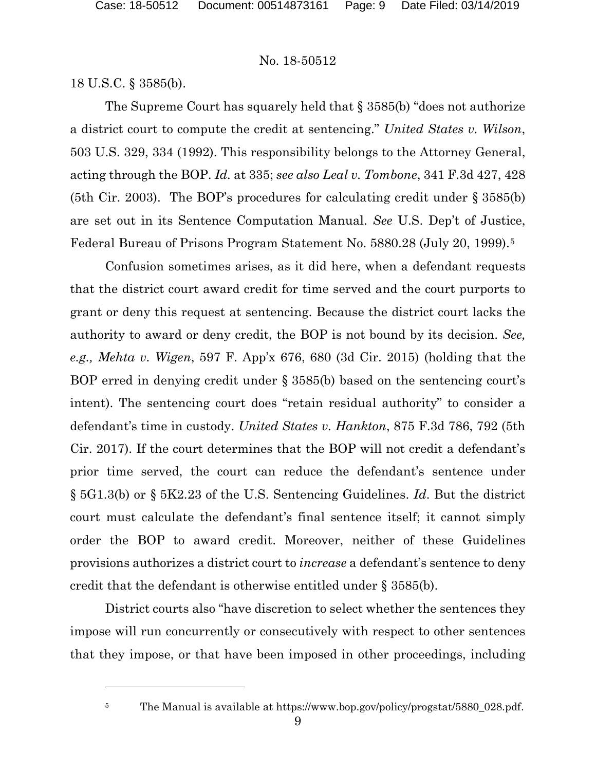18 U.S.C. § 3585(b).

l

The Supreme Court has squarely held that § 3585(b) "does not authorize a district court to compute the credit at sentencing." *United States v. Wilson*, 503 U.S. 329, 334 (1992). This responsibility belongs to the Attorney General, acting through the BOP. *Id.* at 335; *see also Leal v. Tombone*, 341 F.3d 427, 428 (5th Cir. 2003). The BOP's procedures for calculating credit under § 3585(b) are set out in its Sentence Computation Manual. *See* U.S. Dep't of Justice, Federal Bureau of Prisons Program Statement No. 5880.28 (July 20, 1999).[5](#page-8-0)

Confusion sometimes arises, as it did here, when a defendant requests that the district court award credit for time served and the court purports to grant or deny this request at sentencing. Because the district court lacks the authority to award or deny credit, the BOP is not bound by its decision. *See, e.g., Mehta v. Wigen*, 597 F. App'x 676, 680 (3d Cir. 2015) (holding that the BOP erred in denying credit under § 3585(b) based on the sentencing court's intent). The sentencing court does "retain residual authority" to consider a defendant's time in custody. *United States v. Hankton*, 875 F.3d 786, 792 (5th Cir. 2017). If the court determines that the BOP will not credit a defendant's prior time served, the court can reduce the defendant's sentence under § 5G1.3(b) or § 5K2.23 of the U.S. Sentencing Guidelines. *Id*. But the district court must calculate the defendant's final sentence itself; it cannot simply order the BOP to award credit. Moreover, neither of these Guidelines provisions authorizes a district court to *increase* a defendant's sentence to deny credit that the defendant is otherwise entitled under § 3585(b).

District courts also "have discretion to select whether the sentences they impose will run concurrently or consecutively with respect to other sentences that they impose, or that have been imposed in other proceedings, including

<span id="page-8-0"></span><sup>5</sup> The Manual is available at https://www.bop.gov/policy/progstat/5880\_028.pdf.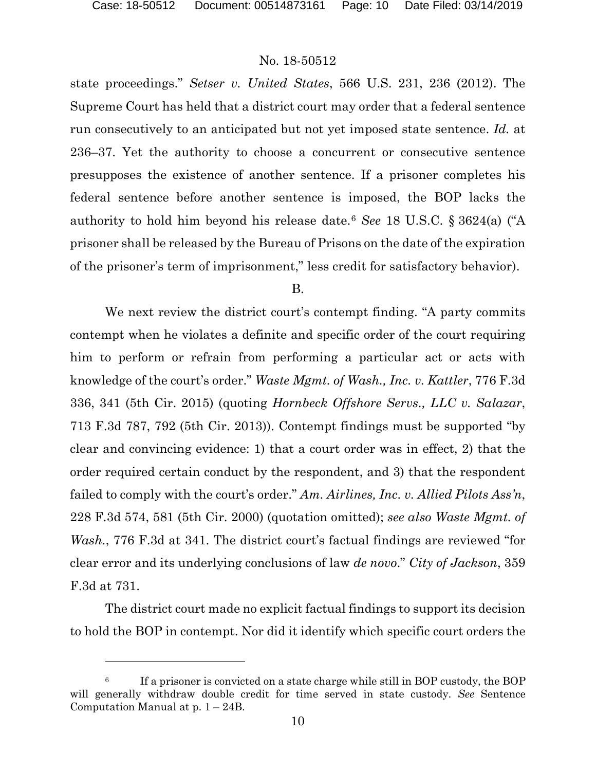$\overline{a}$ 

## No. 18-50512

state proceedings." *Setser v. United States*, 566 U.S. 231, 236 (2012). The Supreme Court has held that a district court may order that a federal sentence run consecutively to an anticipated but not yet imposed state sentence. *Id.* at 236–37. Yet the authority to choose a concurrent or consecutive sentence presupposes the existence of another sentence. If a prisoner completes his federal sentence before another sentence is imposed, the BOP lacks the authority to hold him beyond his release date.[6](#page-9-0) *See* 18 U.S.C. § 3624(a) ("A prisoner shall be released by the Bureau of Prisons on the date of the expiration of the prisoner's term of imprisonment," less credit for satisfactory behavior).

B.

We next review the district court's contempt finding. "A party commits contempt when he violates a definite and specific order of the court requiring him to perform or refrain from performing a particular act or acts with knowledge of the court's order." *Waste Mgmt. of Wash., Inc. v. Kattler*, 776 F.3d 336, 341 (5th Cir. 2015) (quoting *Hornbeck Offshore Servs., LLC v. Salazar*, 713 F.3d 787, 792 (5th Cir. 2013)). Contempt findings must be supported "by clear and convincing evidence: 1) that a court order was in effect, 2) that the order required certain conduct by the respondent, and 3) that the respondent failed to comply with the court's order." *Am. Airlines, Inc. v. Allied Pilots Ass'n*, 228 F.3d 574, 581 (5th Cir. 2000) (quotation omitted); *see also Waste Mgmt. of Wash.*, 776 F.3d at 341. The district court's factual findings are reviewed "for clear error and its underlying conclusions of law *de novo*." *City of Jackson*, 359 F.3d at 731.

The district court made no explicit factual findings to support its decision to hold the BOP in contempt. Nor did it identify which specific court orders the

<span id="page-9-0"></span> $6$  If a prisoner is convicted on a state charge while still in BOP custody, the BOP will generally withdraw double credit for time served in state custody. *See* Sentence Computation Manual at  $p. 1 - 24B$ .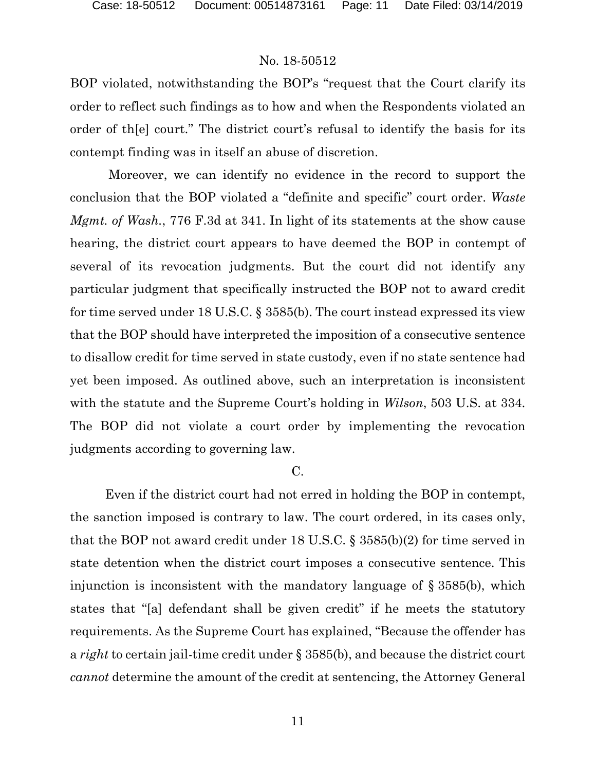BOP violated, notwithstanding the BOP's "request that the Court clarify its order to reflect such findings as to how and when the Respondents violated an order of th[e] court." The district court's refusal to identify the basis for its contempt finding was in itself an abuse of discretion.

Moreover, we can identify no evidence in the record to support the conclusion that the BOP violated a "definite and specific" court order. *Waste Mgmt. of Wash.*, 776 F.3d at 341. In light of its statements at the show cause hearing, the district court appears to have deemed the BOP in contempt of several of its revocation judgments. But the court did not identify any particular judgment that specifically instructed the BOP not to award credit for time served under 18 U.S.C. § 3585(b). The court instead expressed its view that the BOP should have interpreted the imposition of a consecutive sentence to disallow credit for time served in state custody, even if no state sentence had yet been imposed. As outlined above, such an interpretation is inconsistent with the statute and the Supreme Court's holding in *Wilson*, 503 U.S. at 334. The BOP did not violate a court order by implementing the revocation judgments according to governing law.

# C.

Even if the district court had not erred in holding the BOP in contempt, the sanction imposed is contrary to law. The court ordered, in its cases only, that the BOP not award credit under 18 U.S.C. § 3585(b)(2) for time served in state detention when the district court imposes a consecutive sentence. This injunction is inconsistent with the mandatory language of § 3585(b), which states that "[a] defendant shall be given credit" if he meets the statutory requirements. As the Supreme Court has explained, "Because the offender has a *right* to certain jail-time credit under § 3585(b), and because the district court *cannot* determine the amount of the credit at sentencing, the Attorney General